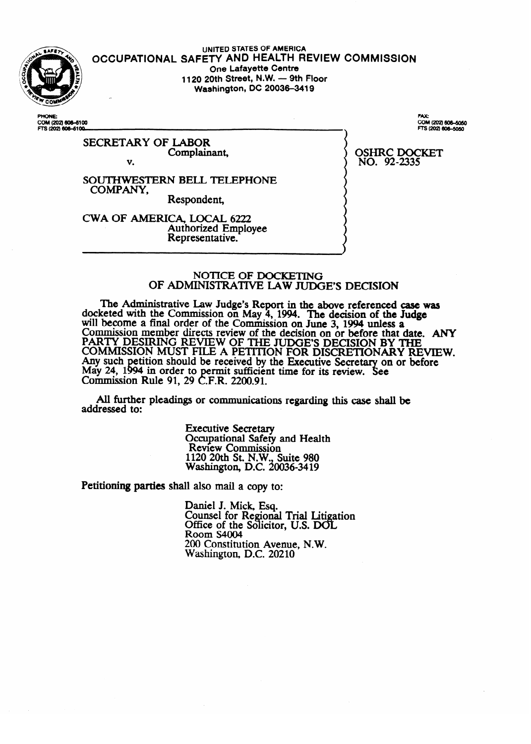

**UNITED STATES OF AMERICA OCCUPATIONAL SAFETY AND HEALTH REVIEW COMMISSION One Lafayette Centre**<br>**1120 20th Street, N.W. — 9th Floor 1120 20th Street, N.W. - 9th Floor Washington, DC 200364419** 

COM (202) 606-6100 FTS (202) 606-6100

> SECRETARY OF LABOR Complainant,

v.

SOUTHWESTERN BELL TELEPHONE<br>COMPANY,<br>Respondent, COMPANY,

CWA OF AMERICA, LOCAL 6222 Authorized Employee Representative.

Representative.

FAX-COM (202) 606-5050 FTS (202) 606-5050

**NO.** 92-2335  $\sim$ 

#### NOTICE OF DOCKETING OF ADMINISTRATIVE LAW JUDGE'S DECISION

The Administrative Law Judge's Report in the above referenced case was Report a Ketted With the Commission on May 4, 1994. The decision of the **Judge**<br>hecogne a final arder of the Commission on Luce 2, 1994 unless a will become a final order of the Commission on June 3, 1994 unless a<br>Commission member directs review of the decision on an before that data COMMISSION MEMBET AITECTS TEVIEW OF THE AECTSION ON OF DETOTE THAT C<br>DADTY DESIDING DEVIEW OF THE HIDGE'S DEGISION BY T FAKT I DESIKING KEVIEW OF THE JUDGE'S DECISION BY THE<br>COMMISSION MUST FILE A DETITION FOR DISCRETIONARY DEVTEW. COMMISSION MOST FILE A FETITION FOR DISCRETIONART RE<br>Any such netition should be received by the Executive Secretary on or bet Any such petition should be received by the executive secretary on or before<br>May 24 1994 in order to permit sufficient time for its review. See May 27, 1<br>Commissi uu i  $\frac{1}{2}$  and order to permit sufficient time for its review. See Commission Nuit 71, 27 C.P.N. 2200.71.

All further pleadings or communications regarding this case shall be addressed to: All further pleadings or communications regarding this case shall be

> **Executive Secretary** Occupational Safety and Health<br>Review Commission 1120 20th St. N.W., Suite 980 Vashington, D.C. 200 1120 20th St. N.W., Suite 980

Petitioning parties shall also mail a copy to:

Daniel J. Mick, Esq.<br>Counsel for Regional Trial Litigation Office of the Solicitor, U.S. DOL<br>Room S4004 Room S4004<br>200 Genesis ties August at W  $200$  Constitution Avenue, N.W. Washington, D.C. 20210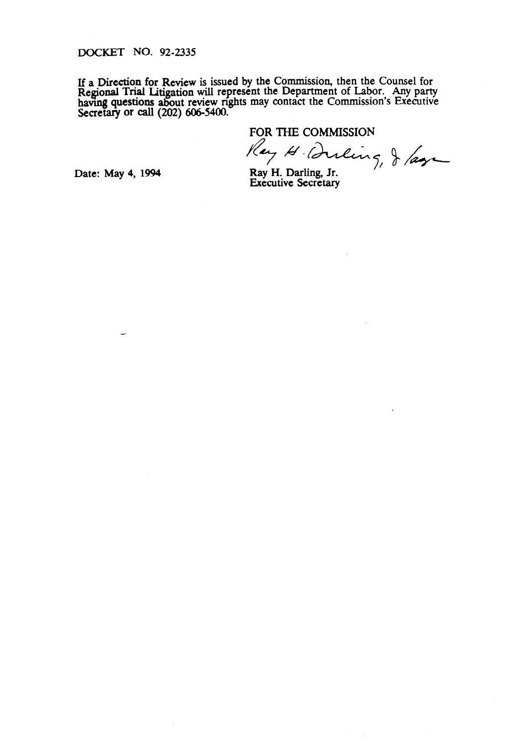DOCKET **NO.** 92-2335

If a Direction for Review is issued by the Commission, then the Counsel for Regional **Trial** Litigation will represent the Department of Labor. Any party having questions about review rights may contact the Commission's Executive Secretary or call (202) 606-5400.

FOR THE COMMISSION<br>Ray H. Durling, J /age

Date: May 4, 1994 Ray H. Darling, Jr. Executive Secretary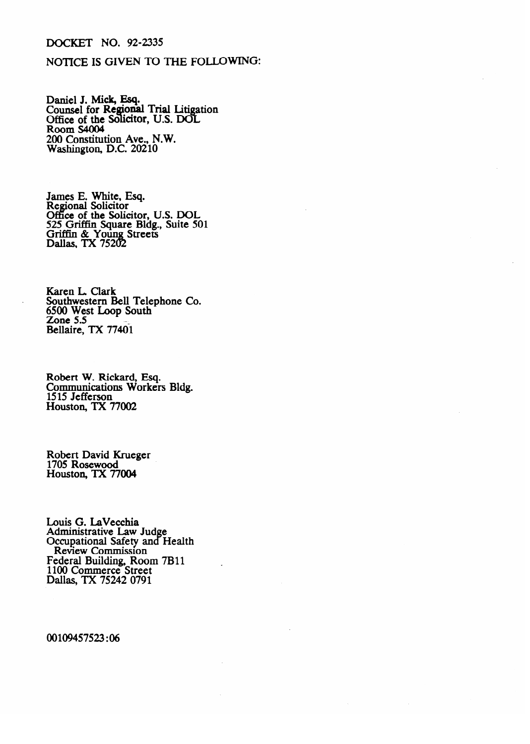## DOCKET NO. 92-2335

### NOTICE IS GIVEN TO THE FOLLOWING:

Daniel J. Mick, Esq.<br>Counsel for Regiona Counsel for **Regional Trial Litig**<br>Office of the Solicitor, U.S. DO JU<br>. auon<br>I Office of the Solicitor, **U.S. DOI**<br>Room \$4004 Room <del>S4004</del><br>200 Constituti 200 **Constitution Ave.,** N.W. Washington, D.C. 20210

James E. White, Esq. Office of the Solic 525 Griffin Square Bldg., Suite 50 Griffin & Young Streets Dallas, TX 75202

Karen L. Clark Southwestern Bell Telephone Co. 6500 West Loop South<br>Zone 5.5 ZONE 5.5<br>Ballaire TY 77401  $S$ 

Robert W. Rickard, Esq. Communications worker.<br>1515 Jefferson  $\frac{1515}{100000}$  Contractions TX 77002  $15000000$ 

Robert David Krueger 1705 Rosewood<br>Houston, TX 77004 1705 Rosewood

Louis G. LaVecchia Administrative Law Judge<br>Occupational Safety and Health Review Commission  $\overline{a}$ rederal Building, Room and France<br>1100 Commonse Street \RII Review Commerce Street<br>Religion TV 75242.0701 Danas,  $\frac{1 \lambda}{3242}$  0/91

00109457523:06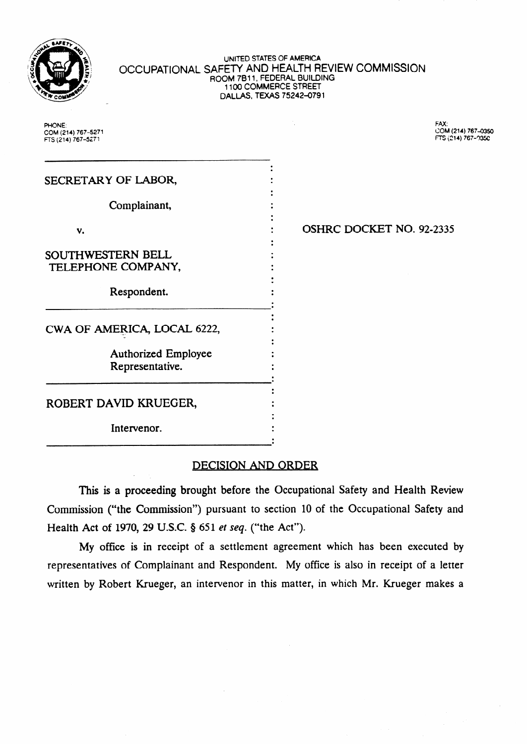

#### UrNED STATES OF **AMERICA**  OCCUPATIONAL SAFETY AND HEALTH REVIEW COMMISSION ROOM 7811, FEDERAL BUILDING 1100 COMMERCE STREET **DALLAS,** TEXAS 75242-0791

PHONE: FAX: **COM(214)767-5271 COM(214)767-**  FTS (214) 767-5271

| SECRETARY OF LABOR,         |  |
|-----------------------------|--|
|                             |  |
| Complainant,                |  |
| v.                          |  |
|                             |  |
| <b>SOUTHWESTERN BELL</b>    |  |
| TELEPHONE COMPANY,          |  |
|                             |  |
| Respondent.                 |  |
|                             |  |
| CWA OF AMERICA, LOCAL 6222, |  |
|                             |  |
| <b>Authorized Employee</b>  |  |
| Representative.             |  |
|                             |  |
| ROBERT DAVID KRUEGER,       |  |
|                             |  |
| Intervenor.                 |  |
|                             |  |

# . OSHRC DOCKET NO. 92-2335

# DECISION AND ORDER

This is a proceeding brought before the Occupational Safety and Health Review Commission ("the Commission") pursuant to section 10 of the Occupational Safety and Health Act of 1970, 29 U.S.C. § 651 *et seq.* ("the Act").

My office is in receipt of a settlement agreement which has been executed by representatives of Complainant and Respondent. My office is also in receipt of a letter written by Robert Krueger, an intervenor in this matter, in which Mr. Krueger makes a